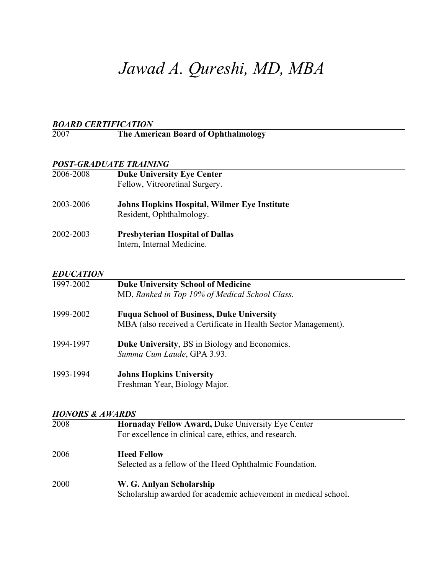# *Jawad A. Qureshi, MD, MBA*

# *BOARD CERTIFICATION*<br>2007 The Amer

# **The American Board of Ophthalmology**

## *POST-GRADUATE TRAINING*

| 2006-2008        | <b>Duke University Eye Center</b><br>Fellow, Vitreoretinal Surgery.                                                |
|------------------|--------------------------------------------------------------------------------------------------------------------|
| 2003-2006        | Johns Hopkins Hospital, Wilmer Eye Institute<br>Resident, Ophthalmology.                                           |
| 2002-2003        | <b>Presbyterian Hospital of Dallas</b><br>Intern, Internal Medicine.                                               |
| <b>EDUCATION</b> |                                                                                                                    |
| 1997-2002        | <b>Duke University School of Medicine</b><br>MD, Ranked in Top 10% of Medical School Class.                        |
| 1999-2002        | <b>Fuqua School of Business, Duke University</b><br>MBA (also received a Certificate in Health Sector Management). |
| 1994-1997        | <b>Duke University, BS</b> in Biology and Economics.<br>Summa Cum Laude, GPA 3.93.                                 |
| 1993-1994        | <b>Johns Hopkins University</b><br>Freshman Year, Biology Major.                                                   |

#### *HONORS & AWARDS*

| 2008 | <b>Hornaday Fellow Award, Duke University Eye Center</b><br>For excellence in clinical care, ethics, and research. |
|------|--------------------------------------------------------------------------------------------------------------------|
| 2006 | <b>Heed Fellow</b><br>Selected as a fellow of the Heed Ophthalmic Foundation.                                      |
| 2000 | W. G. Anlyan Scholarship<br>Scholarship awarded for academic achievement in medical school.                        |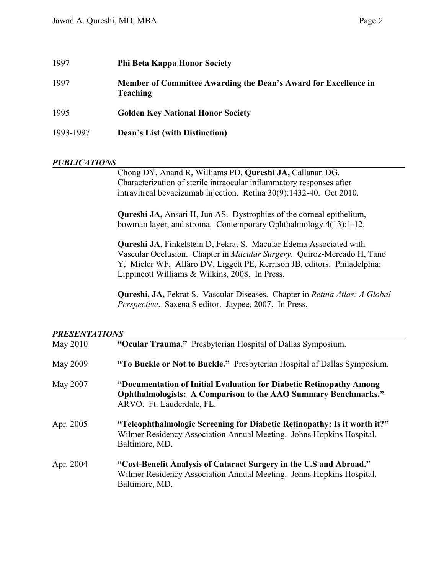| 1997      | <b>Phi Beta Kappa Honor Society</b>                                                |
|-----------|------------------------------------------------------------------------------------|
| 1997      | Member of Committee Awarding the Dean's Award for Excellence in<br><b>Teaching</b> |
| 1995      | <b>Golden Key National Honor Society</b>                                           |
| 1993-1997 | <b>Dean's List (with Distinction)</b>                                              |

## *PUBLICATIONS*

Chong DY, Anand R, Williams PD, **Qureshi JA,** Callanan DG. Characterization of sterile intraocular inflammatory responses after intravitreal bevacizumab injection. Retina 30(9):1432-40. Oct 2010.

**Qureshi JA,** Ansari H, Jun AS. Dystrophies of the corneal epithelium, bowman layer, and stroma. Contemporary Ophthalmology 4(13):1-12.

**Qureshi JA**, Finkelstein D, Fekrat S. Macular Edema Associated with Vascular Occlusion. Chapter in *Macular Surgery*. Quiroz-Mercado H, Tano Y, Mieler WF, Alfaro DV, Liggett PE, Kerrison JB, editors. Philadelphia: Lippincott Williams & Wilkins, 2008. In Press.

**Qureshi, JA,** Fekrat S. Vascular Diseases. Chapter in *Retina Atlas: A Global Perspective*. Saxena S editor. Jaypee, 2007. In Press.

#### *PRESENTATIONS*

| May 2010  | "Ocular Trauma." Presbyterian Hospital of Dallas Symposium.                                                                                                               |
|-----------|---------------------------------------------------------------------------------------------------------------------------------------------------------------------------|
| May 2009  | "To Buckle or Not to Buckle." Presbyterian Hospital of Dallas Symposium.                                                                                                  |
| May 2007  | "Documentation of Initial Evaluation for Diabetic Retinopathy Among<br><b>Ophthalmologists: A Comparison to the AAO Summary Benchmarks."</b><br>ARVO. Ft. Lauderdale, FL. |
| Apr. 2005 | "Teleophthalmologic Screening for Diabetic Retinopathy: Is it worth it?"<br>Wilmer Residency Association Annual Meeting. Johns Hopkins Hospital.<br>Baltimore, MD.        |
| Apr. 2004 | "Cost-Benefit Analysis of Cataract Surgery in the U.S and Abroad."<br>Wilmer Residency Association Annual Meeting. Johns Hopkins Hospital.<br>Baltimore, MD.              |